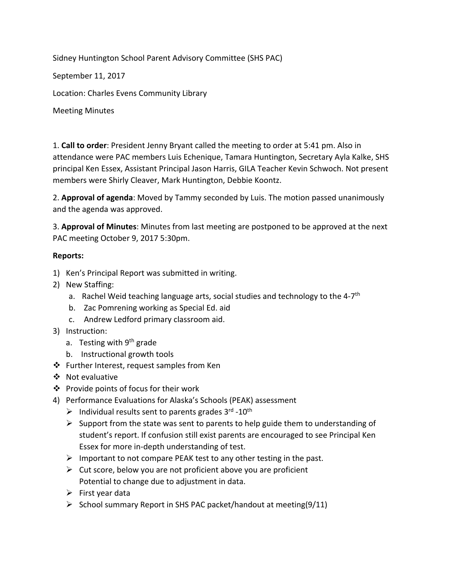Sidney Huntington School Parent Advisory Committee (SHS PAC)

September 11, 2017

Location: Charles Evens Community Library

Meeting Minutes

1. **Call to order**: President Jenny Bryant called the meeting to order at 5:41 pm. Also in attendance were PAC members Luis Echenique, Tamara Huntington, Secretary Ayla Kalke, SHS principal Ken Essex, Assistant Principal Jason Harris, GILA Teacher Kevin Schwoch. Not present members were Shirly Cleaver, Mark Huntington, Debbie Koontz.

2. **Approval of agenda**: Moved by Tammy seconded by Luis. The motion passed unanimously and the agenda was approved.

3. **Approval of Minutes**: Minutes from last meeting are postponed to be approved at the next PAC meeting October 9, 2017 5:30pm.

#### **Reports:**

- 1) Ken's Principal Report was submitted in writing.
- 2) New Staffing:
	- a. Rachel Weid teaching language arts, social studies and technology to the 4-7<sup>th</sup>
	- b. Zac Pomrening working as Special Ed. aid
	- c. Andrew Ledford primary classroom aid.
- 3) Instruction:
	- a. Testing with 9<sup>th</sup> grade
	- b. Instructional growth tools
- ❖ Further Interest, request samples from Ken
- ❖ Not evaluative
- ❖ Provide points of focus for their work
- 4) Performance Evaluations for Alaska's Schools (PEAK) assessment
	- $\triangleright$  Individual results sent to parents grades 3<sup>rd</sup> -10<sup>th</sup>
	- $\triangleright$  Support from the state was sent to parents to help guide them to understanding of student's report. If confusion still exist parents are encouraged to see Principal Ken Essex for more in‐depth understanding of test.
	- $\triangleright$  Important to not compare PEAK test to any other testing in the past.
	- $\triangleright$  Cut score, below you are not proficient above you are proficient Potential to change due to adjustment in data.
	- $\triangleright$  First year data
	- $\triangleright$  School summary Report in SHS PAC packet/handout at meeting(9/11)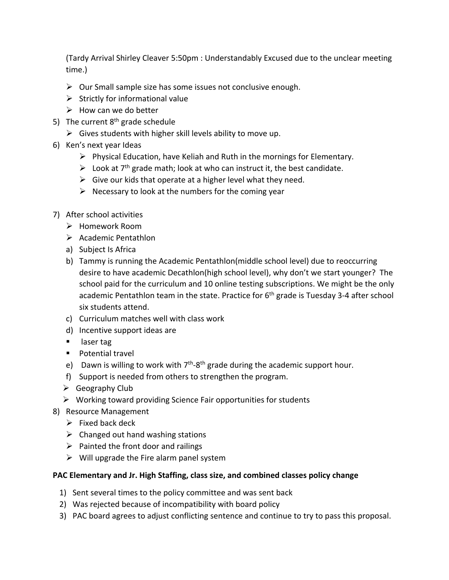(Tardy Arrival Shirley Cleaver 5:50pm : Understandably Excused due to the unclear meeting time.)

- $\triangleright$  Our Small sample size has some issues not conclusive enough.
- $\triangleright$  Strictly for informational value
- $\triangleright$  How can we do better
- 5) The current  $8<sup>th</sup>$  grade schedule
	- $\triangleright$  Gives students with higher skill levels ability to move up.
- 6) Ken's next year Ideas
	- $\triangleright$  Physical Education, have Keliah and Ruth in the mornings for Elementary.
	- $\triangleright$  Look at 7<sup>th</sup> grade math; look at who can instruct it, the best candidate.
	- $\triangleright$  Give our kids that operate at a higher level what they need.
	- $\triangleright$  Necessary to look at the numbers for the coming year
- 7) After school activities
	- Homework Room
	- $\triangleright$  Academic Pentathlon
	- a) Subject Is Africa
	- b) Tammy is running the Academic Pentathlon(middle school level) due to reoccurring desire to have academic Decathlon(high school level), why don't we start younger? The school paid for the curriculum and 10 online testing subscriptions. We might be the only academic Pentathlon team in the state. Practice for  $6<sup>th</sup>$  grade is Tuesday 3-4 after school six students attend.
	- c) Curriculum matches well with class work
	- d) Incentive support ideas are
	- **laser tag**
	- **Potential travel**
	- e) Dawn is willing to work with  $7<sup>th</sup>$ -8<sup>th</sup> grade during the academic support hour.
	- f) Support is needed from others to strengthen the program.
	- $\triangleright$  Geography Club
	- $\triangleright$  Working toward providing Science Fair opportunities for students
- 8) Resource Management
	- $\triangleright$  Fixed back deck
	- $\triangleright$  Changed out hand washing stations
	- $\triangleright$  Painted the front door and railings
	- $\triangleright$  Will upgrade the Fire alarm panel system

#### **PAC Elementary and Jr. High Staffing, class size, and combined classes policy change**

- 1) Sent several times to the policy committee and was sent back
- 2) Was rejected because of incompatibility with board policy
- 3) PAC board agrees to adjust conflicting sentence and continue to try to pass this proposal.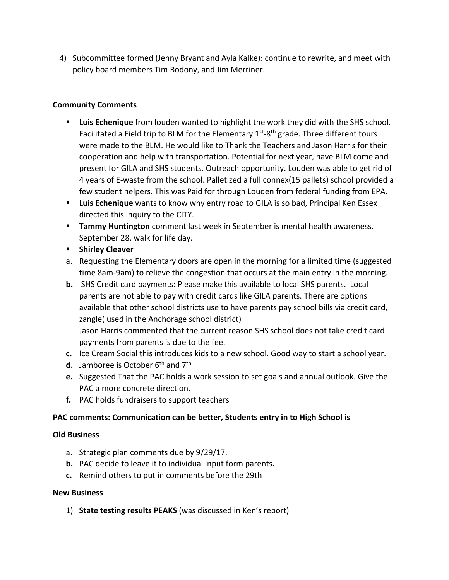4) Subcommittee formed (Jenny Bryant and Ayla Kalke): continue to rewrite, and meet with policy board members Tim Bodony, and Jim Merriner.

### **Community Comments**

- **Luis Echenique** from louden wanted to highlight the work they did with the SHS school. Facilitated a Field trip to BLM for the Elementary  $1<sup>st</sup>$ -8<sup>th</sup> grade. Three different tours were made to the BLM. He would like to Thank the Teachers and Jason Harris for their cooperation and help with transportation. Potential for next year, have BLM come and present for GILA and SHS students. Outreach opportunity. Louden was able to get rid of 4 years of E‐waste from the school. Palletized a full connex(15 pallets) school provided a few student helpers. This was Paid for through Louden from federal funding from EPA.
- **Luis Echenique** wants to know why entry road to GILA is so bad, Principal Ken Essex directed this inquiry to the CITY.
- **Tammy Huntington** comment last week in September is mental health awareness. September 28, walk for life day.
- **EXPLOSIVE PRINTING INCR**
- a. Requesting the Elementary doors are open in the morning for a limited time (suggested time 8am‐9am) to relieve the congestion that occurs at the main entry in the morning.
- **b.** SHS Credit card payments: Please make this available to local SHS parents. Local parents are not able to pay with credit cards like GILA parents. There are options available that other school districts use to have parents pay school bills via credit card, zangle( used in the Anchorage school district) Jason Harris commented that the current reason SHS school does not take credit card payments from parents is due to the fee.
- **c.** Ice Cream Social this introduces kids to a new school. Good way to start a school year.
- **d.** Jamboree is October 6<sup>th</sup> and 7<sup>th</sup>
- **e.** Suggested That the PAC holds a work session to set goals and annual outlook. Give the PAC a more concrete direction.
- **f.** PAC holds fundraisers to support teachers

#### **PAC comments: Communication can be better, Students entry in to High School is**

#### **Old Business**

- a. Strategic plan comments due by 9/29/17.
- **b.** PAC decide to leave it to individual input form parents**.**
- **c.** Remind others to put in comments before the 29th

#### **New Business**

1) **State testing results PEAKS** (was discussed in Ken's report)